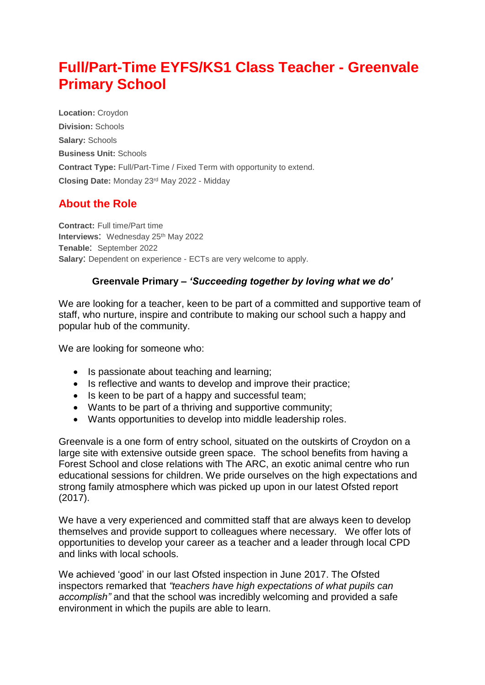## **Full/Part-Time EYFS/KS1 Class Teacher - Greenvale Primary School**

**Location:** Croydon **Division:** Schools **Salary:** Schools **Business Unit:** Schools **Contract Type:** Full/Part-Time / Fixed Term with opportunity to extend. **Closing Date:** Monday 23rd May 2022 - Midday

## **About the Role**

**Contract:** Full time/Part time **Interviews: Wednesday 25th May 2022 Tenable**: September 2022 **Salary**: Dependent on experience - ECTs are very welcome to apply.

## **Greenvale Primary –** *'Succeeding together by loving what we do'*

We are looking for a teacher, keen to be part of a committed and supportive team of staff, who nurture, inspire and contribute to making our school such a happy and popular hub of the community.

We are looking for someone who:

- Is passionate about teaching and learning;
- Is reflective and wants to develop and improve their practice;
- Is keen to be part of a happy and successful team;
- Wants to be part of a thriving and supportive community;
- Wants opportunities to develop into middle leadership roles.

Greenvale is a one form of entry school, situated on the outskirts of Croydon on a large site with extensive outside green space. The school benefits from having a Forest School and close relations with The ARC, an exotic animal centre who run educational sessions for children. We pride ourselves on the high expectations and strong family atmosphere which was picked up upon in our latest Ofsted report (2017).

We have a very experienced and committed staff that are always keen to develop themselves and provide support to colleagues where necessary. We offer lots of opportunities to develop your career as a teacher and a leader through local CPD and links with local schools.

We achieved 'good' in our last Ofsted inspection in June 2017. The Ofsted inspectors remarked that *"teachers have high expectations of what pupils can accomplish"* and that the school was incredibly welcoming and provided a safe environment in which the pupils are able to learn.